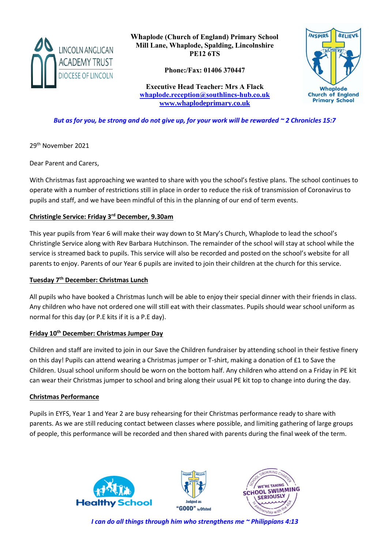

**Whaplode (Church of England) Primary School Mill Lane, Whaplode, Spalding, Lincolnshire PE12 6TS**

**Phone:/Fax: 01406 370447**

**Executive Head Teacher: Mrs A Flack [whaplode.reception@southlincs-hub.co.uk](mailto:whaplode.reception@southlincs-hub.co.uk) [www.whaplodeprimary.co.uk](http://www.whaplodeprimary.co.uk/)**



*But as for you, be strong and do not give up, for your work will be rewarded ~ 2 Chronicles 15:7*

29th November 2021

Dear Parent and Carers,

With Christmas fast approaching we wanted to share with you the school's festive plans. The school continues to operate with a number of restrictions still in place in order to reduce the risk of transmission of Coronavirus to pupils and staff, and we have been mindful of this in the planning of our end of term events.

## **Christingle Service: Friday 3rd December, 9.30am**

This year pupils from Year 6 will make their way down to St Mary's Church, Whaplode to lead the school's Christingle Service along with Rev Barbara Hutchinson. The remainder of the school will stay at school while the service is streamed back to pupils. This service will also be recorded and posted on the school's website for all parents to enjoy. Parents of our Year 6 pupils are invited to join their children at the church for this service.

## **Tuesday 7th December: Christmas Lunch**

All pupils who have booked a Christmas lunch will be able to enjoy their special dinner with their friends in class. Any children who have not ordered one will still eat with their classmates. Pupils should wear school uniform as normal for this day (or P.E kits if it is a P.E day).

## **Friday 10th December: Christmas Jumper Day**

Children and staff are invited to join in our Save the Children fundraiser by attending school in their festive finery on this day! Pupils can attend wearing a Christmas jumper or T-shirt, making a donation of £1 to Save the Children. Usual school uniform should be worn on the bottom half. Any children who attend on a Friday in PE kit can wear their Christmas jumper to school and bring along their usual PE kit top to change into during the day.

## **Christmas Performance**

Pupils in EYFS, Year 1 and Year 2 are busy rehearsing for their Christmas performance ready to share with parents. As we are still reducing contact between classes where possible, and limiting gathering of large groups of people, this performance will be recorded and then shared with parents during the final week of the term.







*I can do all things through him who strengthens me ~ Philippians 4:13*